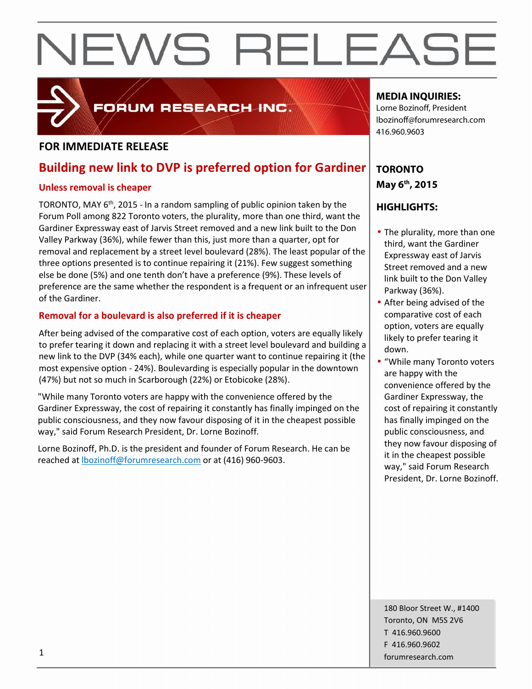

# FORUM RESEARCH INC.

# **FOR IMMEDIATE RELEASE**

# **Building new link to DVP is preferred option for Gardiner**

### **Unless removal is cheaper**

TORONTO, MAY 6<sup>th</sup>, 2015 - In a random sampling of public opinion taken by the Forum Poll among 822 Toronto voters, the plurality, more than one third, want the Gardiner Expressway east of Jarvis Street removed and a new link built to the Don Valley Parkway (36%), while fewer than this, just more than a quarter, opt for removal and replacement by a street level boulevard (28%). The least popular of the three options presented is to continue repairing it (21%). Few suggest something else be done (5%) and one tenth don't have a preference (9%). These levels of preference are the same whether the respondent is a frequent or an infrequent user of the Gardiner.

# **Removal for a boulevard is also preferred if it is cheaper**

After being advised of the comparative cost of each option, voters are equally likely to prefer tearing it down and replacing it with a street level boulevard and building a new link to the DVP (34% each), while one quarter want to continue repairing it (the most expensive option - 24%). Boulevarding is especially popular in the downtown (47%) but not so much in Scarborough (22%) or Etobicoke (28%).

"While many Toronto voters are happy with the convenience offered by the Gardiner Expressway, the cost of repairing it constantly has finally impinged on the public consciousness, and they now favour disposing of it in the cheapest possible way," said Forum Research President, Dr. Lorne Bozinoff.

Lorne Bozinoff, Ph.D. is the president and founder of Forum Research. He can be reached at lbozinoff@forumresearch.com or at (416) 960-9603.

# **MEDIA INQUIRIES:**

Lorne Bozinoff, President lbozinoff@forumresearch.com 416.960.9603

# **TORONTO May 6 th, 2015**

# **HIGHLIGHTS:**

- The plurality, more than one third, want the Gardiner Expressway east of Jarvis Street removed and a new link built to the Don Valley Parkway (36%).
- After being advised of the comparative cost of each option, voters are equally likely to prefer tearing it down.
- "While many Toronto voters are happy with the convenience offered by the Gardiner Expressway, the cost of repairing it constantly has finally impinged on the public consciousness, and they now favour disposing of it in the cheapest possible way," said Forum Research President, Dr. Lorne Bozinoff.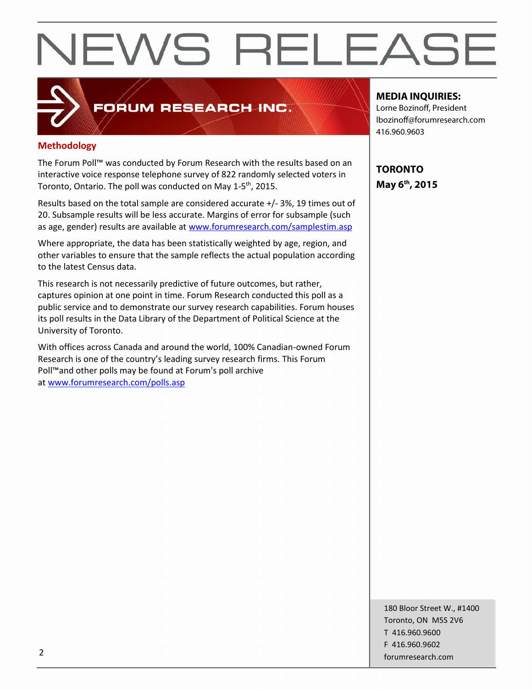# **Methodology**

The Forum Poll™ was conducted by Forum Research with the results based on an interactive voice response telephone survey of 822 randomly selected voters in Toronto, Ontario. The poll was conducted on May 1-5<sup>th</sup>, 2015.

FORUM RESEARCH INC.

Results based on the total sample are considered accurate +/-3%, 19 times out of 20. Subsample results will be less accurate. Margins of error for subsample (such as age, gender) results are available at www.forumresearch.com/samplestim.asp

Where appropriate, the data has been statistically weighted by age, region, and other variables to ensure that the sample reflects the actual population according to the latest Census data.

This research is not necessarily predictive of future outcomes, but rather, captures opinion at one point in time. Forum Research conducted this poll as a public service and to demonstrate our survey research capabilities. Forum houses its poll results in the Data Library of the Department of Political Science at the University of Toronto.

With offices across Canada and around the world, 100% Canadian-owned Forum Research is one of the country's leading survey research firms. This Forum Poll™and other polls may be found at Forum's poll archive at www.forumresearch.com/polls.asp

### **MEDIA INQUIRIES:**

Lorne Bozinoff, President lbozinoff@forumresearch.com 416.960.9603

**TORONTO May 6 th, 2015**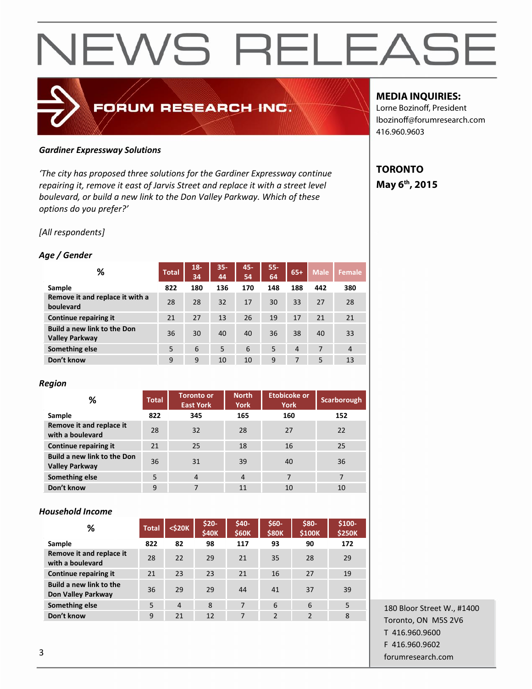# FORUM RESEARCH INC.

#### *Gardiner Expressway Solutions*

*'The city has proposed three solutions for the Gardiner Expressway continue repairing it, remove it east of Jarvis Street and replace it with a street level boulevard, or build a new link to the Don Valley Parkway. Which of these options do you prefer?'*

*[All respondents]*

### *Age / Gender*

| ℅                                                           | <b>Total</b> | $18 -$<br>34 | $35 -$<br>44 | 45-<br>54 | 55-<br>64 | $65+$          | <b>Male</b> | <b>Female</b>  |
|-------------------------------------------------------------|--------------|--------------|--------------|-----------|-----------|----------------|-------------|----------------|
| Sample                                                      | 822          | 180          | 136          | 170       | 148       | 188            | 442         | 380            |
| Remove it and replace it with a<br>boulevard                | 28           | 28           | 32           | 17        | 30        | 33             | 27          | 28             |
| Continue repairing it                                       | 21           | 27           | 13           | 26        | 19        | 17             | 21          | 21             |
| <b>Build a new link to the Don</b><br><b>Valley Parkway</b> | 36           | 30           | 40           | 40        | 36        | 38             | 40          | 33             |
| Something else                                              | 5            | 6            | 5            | 6         | 5         | $\overline{4}$ | 7           | $\overline{4}$ |
| Don't know                                                  | 9            | 9            | 10           | 10        | 9         | 7              | 5           | 13             |

### *Region*

| %                                                           | <b>Total</b> | <b>Toronto or</b><br><b>East York</b> | <b>North</b><br><b>York</b> | Etobicoke or<br><b>York</b> | Scarborough |
|-------------------------------------------------------------|--------------|---------------------------------------|-----------------------------|-----------------------------|-------------|
| Sample                                                      | 822          | 345                                   | 165                         | 160                         | 152         |
| Remove it and replace it<br>with a boulevard                | 28           | 32                                    | 28                          | 27                          | 22          |
| Continue repairing it                                       | 21           | 25                                    | 18                          | 16                          | 25          |
| <b>Build a new link to the Don</b><br><b>Valley Parkway</b> | 36           | 31                                    | 39                          | 40                          | 36          |
| Something else                                              | 5            | $\overline{4}$                        | $\overline{4}$              | 7                           | 7           |
| Don't know                                                  | 9            | 7                                     | 11                          | 10                          | 10          |

### *Household Income*

| %                                             | <b>Total</b> | <\$20K         | $$20-$<br><b>\$40K</b> | \$40-<br><b>\$60K</b> | \$60-<br><b>\$80K</b> | \$80-<br>\$100K | \$100-<br><b>\$250K</b> |
|-----------------------------------------------|--------------|----------------|------------------------|-----------------------|-----------------------|-----------------|-------------------------|
| Sample                                        | 822          | 82             | 98                     | 117                   | 93                    | 90              | 172                     |
| Remove it and replace it<br>with a boulevard  | 28           | 22             | 29                     | 21                    | 35                    | 28              | 29                      |
| Continue repairing it                         | 21           | 23             | 23                     | 21                    | 16                    | 27              | 19                      |
| Build a new link to the<br>Don Valley Parkway | 36           | 29             | 29                     | 44                    | 41                    | 37              | 39                      |
| Something else                                | 5            | $\overline{4}$ | 8                      | 7                     | 6                     | 6               | 5                       |
| Don't know                                    | 9            | 21             | 12                     | 7                     | 2                     | $\overline{2}$  | 8                       |
|                                               |              |                |                        |                       |                       |                 |                         |

180 Bloor Street W., #1400 Toronto, ON M5S 2V6 T 416.960.9600 F 416.960.9602 forumresearch.com 3

# **MEDIA INQUIRIES:**

Lorne Bozinoff, President lbozinoff@forumresearch.com 416.960.9603

# **TORONTO May 6 th, 2015**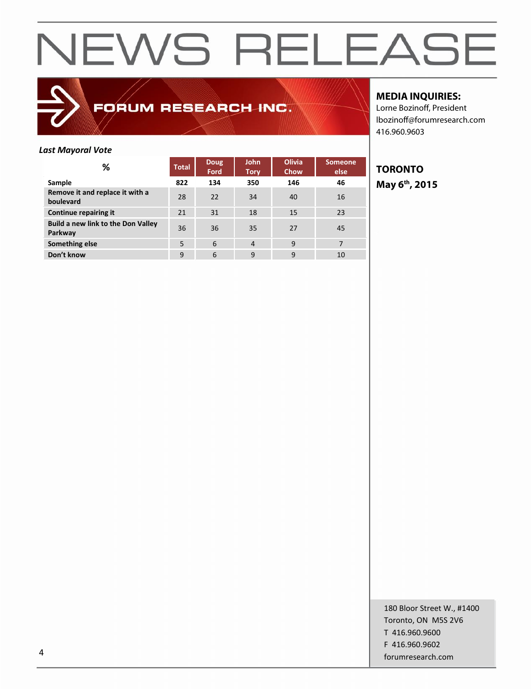

FORUM RESEARCH INC.

### **MEDIA INQUIRIES:**

Lorne Bozinoff, President lbozinoff@forumresearch.com 416.960.9603

#### *Last Mayoral Vote*

| %                                             | <b>Total</b> | <b>Doug</b><br>Ford | <b>John</b><br><b>Tory</b> | <b>Olivia</b><br>Chow | <b>Someone</b><br>else | Τ( |
|-----------------------------------------------|--------------|---------------------|----------------------------|-----------------------|------------------------|----|
| Sample                                        | 822          | 134                 | 350                        | 146                   | 46                     | M  |
| Remove it and replace it with a<br>boulevard  | 28           | 22                  | 34                         | 40                    | 16                     |    |
| <b>Continue repairing it</b>                  | 21           | 31                  | 18                         | 15                    | 23                     |    |
| Build a new link to the Don Valley<br>Parkway | 36           | 36                  | 35                         | 27                    | 45                     |    |
| Something else                                | 5            | 6                   | $\overline{4}$             | 9                     | 7                      |    |
| Don't know                                    | 9            | 6                   | 9                          | 9                     | 10                     |    |

**TORONTO May 6 th, 2015**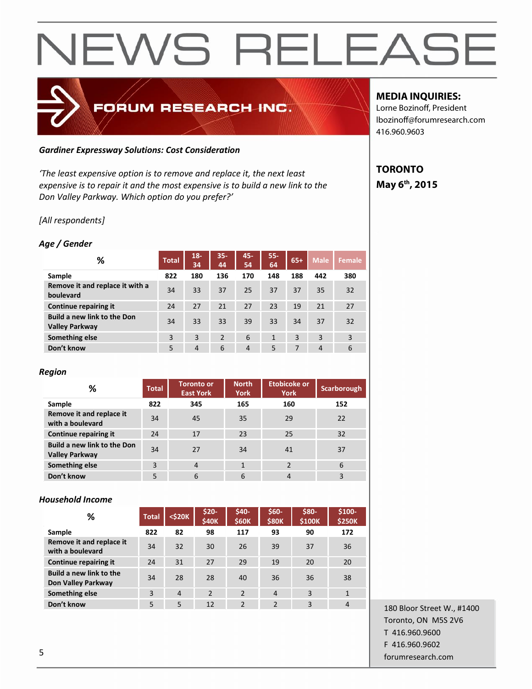# FORUM RESEARCH INC.

#### *Gardiner Expressway Solutions: Cost Consideration*

*'The least expensive option is to remove and replace it, the next least expensive is to repair it and the most expensive is to build a new link to the Don Valley Parkway. Which option do you prefer?'*

### *[All respondents]*

### *Age / Gender*

| ℅                                                           | <b>Total</b> | $18 -$<br>34   | $35 -$<br>44 | 45-<br>54      | $55 -$<br>64 | $65+$ | <b>Male</b>    | <b>Female</b> |
|-------------------------------------------------------------|--------------|----------------|--------------|----------------|--------------|-------|----------------|---------------|
| Sample                                                      | 822          | 180            | 136          | 170            | 148          | 188   | 442            | 380           |
| Remove it and replace it with a<br>boulevard                | 34           | 33             | 37           | 25             | 37           | 37    | 35             | 32            |
| <b>Continue repairing it</b>                                | 24           | 27             | 21           | 27             | 23           | 19    | 21             | 27            |
| <b>Build a new link to the Don</b><br><b>Valley Parkway</b> | 34           | 33             | 33           | 39             | 33           | 34    | 37             | 32            |
| Something else                                              | 3            | 3              | 2            | 6              | $\mathbf{1}$ | 3     | 3              | 3             |
| Don't know                                                  | 5            | $\overline{4}$ | 6            | $\overline{4}$ | 5            | 7     | $\overline{4}$ | 6             |

#### *Region*

| %                                                           | <b>Total</b> | <b>Toronto or</b><br><b>East York</b> | <b>North</b><br><b>York</b> | <b>Etobicoke or</b><br><b>York</b> | Scarborough |
|-------------------------------------------------------------|--------------|---------------------------------------|-----------------------------|------------------------------------|-------------|
| Sample                                                      | 822          | 345                                   | 165                         | 160                                | 152         |
| Remove it and replace it<br>with a boulevard                | 34           | 45                                    | 35                          | 29                                 | 22          |
| Continue repairing it                                       | 24           | 17                                    | 23                          | 25                                 | 32          |
| <b>Build a new link to the Don</b><br><b>Valley Parkway</b> | 34           | 27                                    | 34                          | 41                                 | 37          |
| Something else                                              | 3            | $\overline{4}$                        | $\mathbf{1}$                | $\overline{2}$                     | 6           |
| Don't know                                                  | 5            | 6                                     | 6                           | 4                                  | 3           |

### *Household Income*

| ℅                                             | <b>Total</b> | <\$20K         | $$20-$<br>\$40K | $$40-$<br><b>\$60K</b> | $$60-$<br><b>\$80K</b> | \$80-<br>\$100K | \$100-<br><b>\$250K</b> |
|-----------------------------------------------|--------------|----------------|-----------------|------------------------|------------------------|-----------------|-------------------------|
| Sample                                        | 822          | 82             | 98              | 117                    | 93                     | 90              | 172                     |
| Remove it and replace it<br>with a boulevard  | 34           | 32             | 30              | 26                     | 39                     | 37              | 36                      |
| Continue repairing it                         | 24           | 31             | 27              | 29                     | 19                     | 20              | 20                      |
| Build a new link to the<br>Don Valley Parkway | 34           | 28             | 28              | 40                     | 36                     | 36              | 38                      |
| Something else                                | 3            | $\overline{4}$ | $\overline{2}$  | $\overline{2}$         | $\overline{4}$         | 3               | $\mathbf{1}$            |
| Don't know                                    | 5            | 5              | 12              | $\mathfrak{p}$         | $\overline{2}$         | 3               | 4                       |

180 Bloor Street W., #1400 Toronto, ON M5S 2V6 T 416.960.9600 F 416.960.9602 forumresearch.com 5

# **MEDIA INQUIRIES:**

Lorne Bozinoff, President lbozinoff@forumresearch.com 416.960.9603

# **TORONTO May 6 th, 2015**